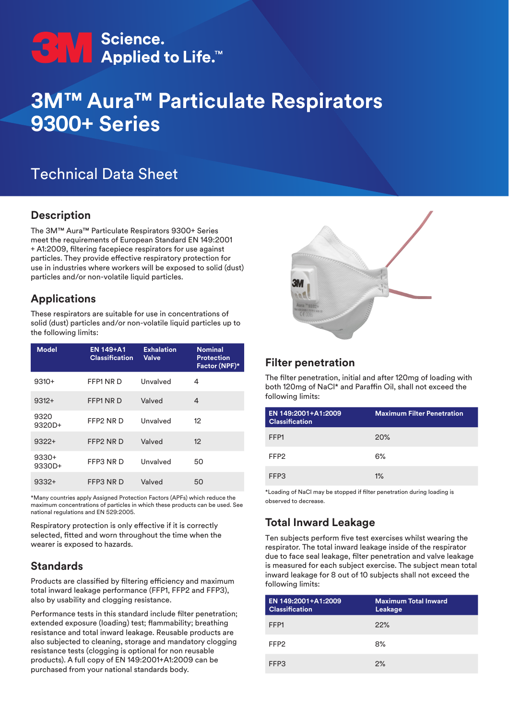# **CNA** Science.<br>
Applied to Life.<sup>™</sup>

## **3M™ Aura™ Particulate Respirators 9300+ Series**

### Technical Data Sheet

#### **Description**

The 3M™ Aura™ Particulate Respirators 9300+ Series meet the requirements of European Standard EN 149:2001 + A1:2009, filtering facepiece respirators for use against particles. They provide effective respiratory protection for use in industries where workers will be exposed to solid (dust) particles and/or non-volatile liquid particles.

#### **Applications**

These respirators are suitable for use in concentrations of solid (dust) particles and/or non-volatile liquid particles up to the following limits:

| <b>Model</b>      | <b>EN 149+A1</b><br><b>Classification</b> | <b>Exhalation</b><br><b>Valve</b> | <b>Nominal</b><br><b>Protection</b><br>Factor (NPF)* |
|-------------------|-------------------------------------------|-----------------------------------|------------------------------------------------------|
| $9310+$           | FFP1 NR D                                 | Unvalved                          | 4                                                    |
| $9312+$           | FFP1 NR D                                 | Valved                            | 4                                                    |
| 9320<br>9320D+    | FFP2 NR D                                 | Unvalved                          | 12                                                   |
| $9322+$           | FFP2 NR D                                 | Valved                            | 12                                                   |
| $9330+$<br>9330D+ | FFP3 NR D                                 | Unvalved                          | 50                                                   |
| $9332+$           | FFP3 NR D                                 | Valved                            | 50                                                   |

\*Many countries apply Assigned Protection Factors (APFs) which reduce the maximum concentrations of particles in which these products can be used. See national regulations and EN 529:2005.

Respiratory protection is only effective if it is correctly selected, fitted and worn throughout the time when the wearer is exposed to hazards.

#### **Standards**

Products are classified by filtering efficiency and maximum total inward leakage performance (FFP1, FFP2 and FFP3), also by usability and clogging resistance.

Performance tests in this standard include filter penetration; extended exposure (loading) test; flammability; breathing resistance and total inward leakage. Reusable products are also subjected to cleaning, storage and mandatory clogging resistance tests (clogging is optional for non reusable products). A full copy of EN 149:2001+A1:2009 can be purchased from your national standards body.



#### **Filter penetration**

The filter penetration, initial and after 120mg of loading with both 120mg of NaCl\* and Paraffin Oil, shall not exceed the following limits:

| EN 149:2001+A1:2009<br><b>Classification</b> | <b>Maximum Filter Penetration</b> |
|----------------------------------------------|-----------------------------------|
| FFP1                                         | <b>20%</b>                        |
| FFP <sub>2</sub>                             | 6%                                |
| FFP3                                         | $1\%$                             |

\*Loading of NaCl may be stopped if filter penetration during loading is observed to decrease.

#### **Total Inward Leakage**

Ten subjects perform five test exercises whilst wearing the respirator. The total inward leakage inside of the respirator due to face seal leakage, filter penetration and valve leakage is measured for each subject exercise. The subject mean total inward leakage for 8 out of 10 subjects shall not exceed the following limits:

| EN 149:2001+A1:2009<br><b>Classification</b> | <b>Maximum Total Inward</b><br>Leakage |
|----------------------------------------------|----------------------------------------|
| FFP1                                         | 22%                                    |
| FFP <sub>2</sub>                             | 8%                                     |
| FFP3                                         | 2%                                     |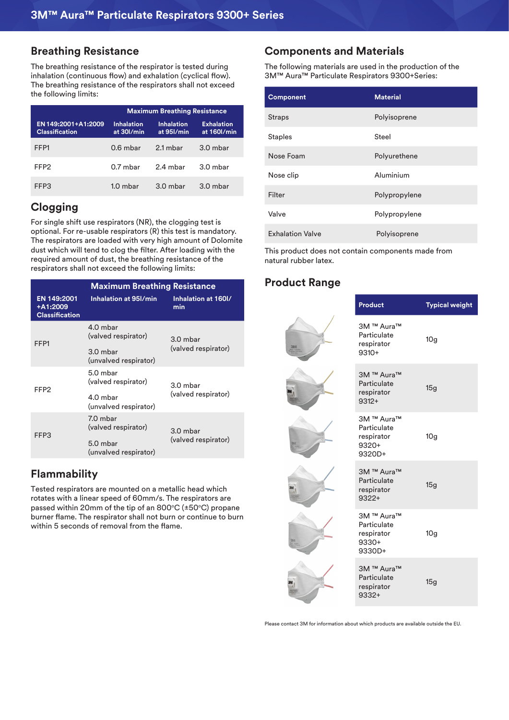#### **Breathing Resistance**

The breathing resistance of the respirator is tested during inhalation (continuous flow) and exhalation (cyclical flow). The breathing resistance of the respirators shall not exceed the following limits:

|                                              | <b>Maximum Breathing Resistance</b> |                                 |                                  |
|----------------------------------------------|-------------------------------------|---------------------------------|----------------------------------|
| EN 149:2001+A1:2009<br><b>Classification</b> | <b>Inhalation</b><br>at 30l/min     | <b>Inhalation</b><br>at 95l/min | <b>Exhalation</b><br>at 160l/min |
| FFP1                                         | $0.6$ mbar                          | 2.1 mbar                        | 3.0 mbar                         |
| FFP2                                         | $0.7$ mbar                          | 2.4 mbar                        | $3.0$ mbar                       |
| FFP3                                         | $1.0$ mbar                          | $3.0$ mbar                      | $3.0$ mbar                       |

#### **Clogging**

For single shift use respirators (NR), the clogging test is optional. For re-usable respirators (R) this test is mandatory. The respirators are loaded with very high amount of Dolomite dust which will tend to clog the filter. After loading with the required amount of dust, the breathing resistance of the respirators shall not exceed the following limits:

| <b>Maximum Breathing Resistance</b>                     |                                   |                                 |  |
|---------------------------------------------------------|-----------------------------------|---------------------------------|--|
| <b>EN 149:2001</b><br>+A1:2009<br><b>Classification</b> | Inhalation at 95I/min             | Inhalation at 160I/<br>min      |  |
| FFP1                                                    | 4.0 mbar<br>(valved respirator)   | 3.0 mbar                        |  |
|                                                         | 3.0 mbar<br>(unvalved respirator) | (valved respirator)             |  |
| FFP2                                                    | 5.0 mbar<br>(valved respirator)   | 3.0 mbar<br>(valved respirator) |  |
|                                                         | 4.0 mbar<br>(unvalved respirator) |                                 |  |
| FFP3                                                    | 7.0 mbar<br>(valved respirator)   | 3.0 mbar<br>(valved respirator) |  |
|                                                         | 5.0 mbar<br>(unvalved respirator) |                                 |  |

#### **Flammability**

Tested respirators are mounted on a metallic head which rotates with a linear speed of 60mm/s. The respirators are passed within 20mm of the tip of an 800 $\degree$ C ( $\pm$ 50 $\degree$ C) propane burner flame. The respirator shall not burn or continue to burn within 5 seconds of removal from the flame.

#### **Components and Materials**

The following materials are used in the production of the 3M™ Aura™ Particulate Respirators 9300+Series:

This product does not contain components made from natural rubber latex.

#### **Product Range**

|   | Product                                                    | <b>Typical weight</b> |
|---|------------------------------------------------------------|-----------------------|
|   | 3M ™ Aura™<br>Particulate<br>respirator<br>$9310+$         | 10 <sub>g</sub>       |
| W | 3M ™ Aura™<br>Particulate<br>respirator<br>$9312+$         | 15g                   |
|   | 3M ™ Aura™<br>Particulate<br>respirator<br>9320+<br>9320D+ | 10 <sub>g</sub>       |
|   | 3M ™ Aura™<br>Particulate<br>respirator<br>$9322+$         | 15g                   |
|   | 3M ™ Aura™<br>Particulate<br>respirator<br>9330+<br>9330D+ | 10 <sub>g</sub>       |
|   | 3M ™ Aura™<br>Particulate<br>respirator<br>9332+           | 15g                   |

Please contact 3M for information about which products are available outside the EU.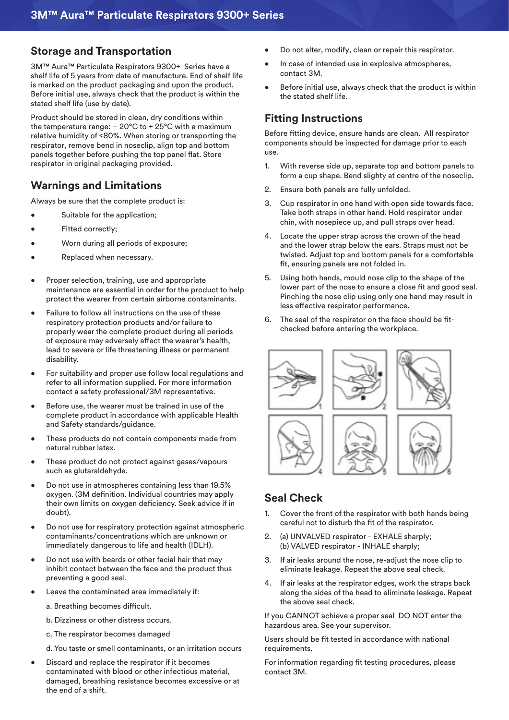#### **Storage and Transportation**

3M™ Aura™ Particulate Respirators 9300+ Series have a shelf life of 5 years from date of manufacture. End of shelf life is marked on the product packaging and upon the product. Before initial use, always check that the product is within the stated shelf life (use by date).

Product should be stored in clean, dry conditions within the temperature range:  $-20^{\circ}$ C to  $+25^{\circ}$ C with a maximum relative humidity of <80%. When storing or transporting the respirator, remove bend in noseclip, align top and bottom panels together before pushing the top panel flat. Store respirator in original packaging provided.

#### **Warnings and Limitations**

Always be sure that the complete product is:

- Suitable for the application;
- Fitted correctly:
- Worn during all periods of exposure;
- Replaced when necessary.
- Proper selection, training, use and appropriate maintenance are essential in order for the product to help protect the wearer from certain airborne contaminants.
- Failure to follow all instructions on the use of these respiratory protection products and/or failure to properly wear the complete product during all periods of exposure may adversely affect the wearer's health, lead to severe or life threatening illness or permanent disability.
- For suitability and proper use follow local regulations and refer to all information supplied. For more information contact a safety professional/3M representative.
- Before use, the wearer must be trained in use of the complete product in accordance with applicable Health and Safety standards/guidance.
- These products do not contain components made from natural rubber latex.
- These product do not protect against gases/vapours such as glutaraldehyde.
- Do not use in atmospheres containing less than 19.5% oxygen. (3M definition. Individual countries may apply their own limits on oxygen deficiency. Seek advice if in doubt).
- Do not use for respiratory protection against atmospheric contaminants/concentrations which are unknown or immediately dangerous to life and health (IDLH).
- Do not use with beards or other facial hair that may inhibit contact between the face and the product thus preventing a good seal.
- Leave the contaminated area immediately if:
	- a. Breathing becomes difficult.
	- b. Dizziness or other distress occurs.
	- c. The respirator becomes damaged
	- d. You taste or smell contaminants, or an irritation occurs
- Discard and replace the respirator if it becomes contaminated with blood or other infectious material, damaged, breathing resistance becomes excessive or at the end of a shift.
- Do not alter, modify, clean or repair this respirator.
- In case of intended use in explosive atmospheres, contact 3M.
- Before initial use, always check that the product is within the stated shelf life.

#### **Fitting Instructions**

Before fitting device, ensure hands are clean. All respirator components should be inspected for damage prior to each use.

- 1. With reverse side up, separate top and bottom panels to form a cup shape. Bend slighty at centre of the noseclip.
- 2. Ensure both panels are fully unfolded.
- 3. Cup respirator in one hand with open side towards face. Take both straps in other hand. Hold respirator under chin, with nosepiece up, and pull straps over head.
- 4. Locate the upper strap across the crown of the head and the lower strap below the ears. Straps must not be twisted. Adjust top and bottom panels for a comfortable fit, ensuring panels are not folded in.
- 5. Using both hands, mould nose clip to the shape of the lower part of the nose to ensure a close fit and good seal. Pinching the nose clip using only one hand may result in less effective respirator performance.
- 6. The seal of the respirator on the face should be fitchecked before entering the workplace.



#### **Seal Check**

- 1. Cover the front of the respirator with both hands being careful not to disturb the fit of the respirator.
- 2. (a) UNVALVED respirator EXHALE sharply; (b) VALVED respirator - INHALE sharply;
- 3. If air leaks around the nose, re-adjust the nose clip to eliminate leakage. Repeat the above seal check.
- 4. If air leaks at the respirator edges, work the straps back along the sides of the head to eliminate leakage. Repeat the above seal check.

If you CANNOT achieve a proper seal DO NOT enter the hazardous area. See your supervisor.

Users should be fit tested in accordance with national requirements.

For information regarding fit testing procedures, please contact 3M.